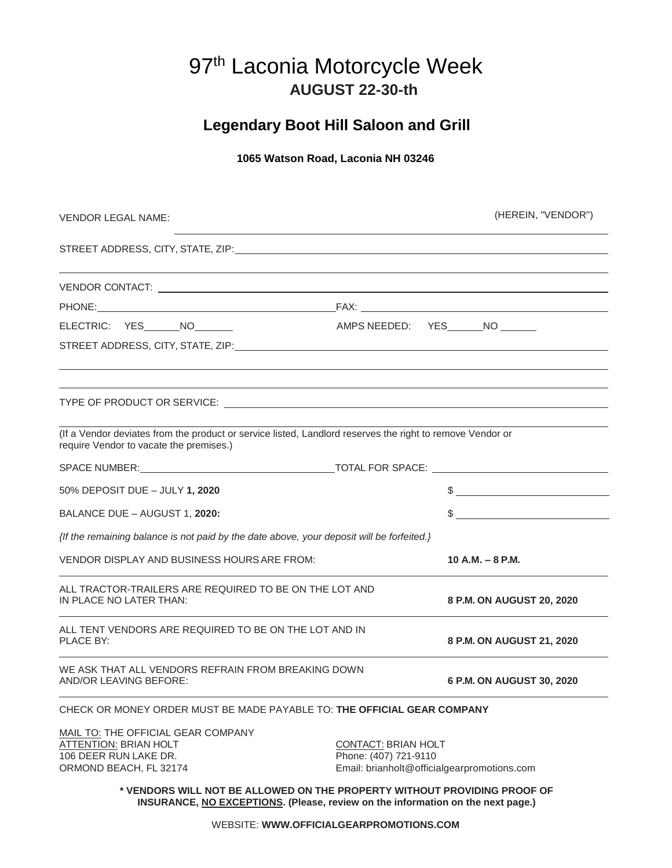# 97<sup>th</sup> Laconia Motorcycle Week **AUGUST 22-30-th**

## **Legendary Boot Hill Saloon and Grill**

## **1065 Watson Road, Laconia NH 03246**

| VENDOR LEGAL NAME:                                                                                                                                          | (HEREIN, "VENDOR")                                                                                 |
|-------------------------------------------------------------------------------------------------------------------------------------------------------------|----------------------------------------------------------------------------------------------------|
|                                                                                                                                                             |                                                                                                    |
|                                                                                                                                                             |                                                                                                    |
|                                                                                                                                                             |                                                                                                    |
| ELECTRIC: YES NO                                                                                                                                            | AMPS NEEDED: YES______NO ______                                                                    |
|                                                                                                                                                             |                                                                                                    |
|                                                                                                                                                             |                                                                                                    |
| (If a Vendor deviates from the product or service listed, Landlord reserves the right to remove Vendor or<br>require Vendor to vacate the premises.)        |                                                                                                    |
|                                                                                                                                                             |                                                                                                    |
| 50% DEPOSIT DUE - JULY 1, 2020                                                                                                                              | $\sim$                                                                                             |
| BALANCE DUE - AUGUST 1, 2020:                                                                                                                               | $\frac{1}{2}$                                                                                      |
| {If the remaining balance is not paid by the date above, your deposit will be forfeited.}                                                                   |                                                                                                    |
| VENDOR DISPLAY AND BUSINESS HOURS ARE FROM:                                                                                                                 | 10 A.M. $-$ 8 P.M.                                                                                 |
| ALL TRACTOR-TRAILERS ARE REQUIRED TO BE ON THE LOT AND<br>IN PLACE NO LATER THAN:                                                                           | 8 P.M. ON AUGUST 20, 2020                                                                          |
| ALL TENT VENDORS ARE REQUIRED TO BE ON THE LOT AND IN<br>PLACE BY:                                                                                          | 8 P.M. ON AUGUST 21, 2020                                                                          |
| WE ASK THAT ALL VENDORS REFRAIN FROM BREAKING DOWN<br><b>AND/OR LEAVING BEFORE:</b>                                                                         | 6 P.M. ON AUGUST 30, 2020                                                                          |
| CHECK OR MONEY ORDER MUST BE MADE PAYABLE TO: THE OFFICIAL GEAR COMPANY                                                                                     |                                                                                                    |
| MAIL TO: THE OFFICIAL GEAR COMPANY<br>ATTENTION: BRIAN HOLT<br>106 DEER RUN LAKE DR.<br>ORMOND BEACH, FL 32174                                              | <b>CONTACT: BRIAN HOLT</b><br>Phone: (407) 721-9110<br>Email: brianholt@officialgearpromotions.com |
| * VENDORS WILL NOT BE ALLOWED ON THE PROPERTY WITHOUT PROVIDING PROOF OF<br>INSURANCE, NO EXCEPTIONS. (Please, review on the information on the next page.) |                                                                                                    |